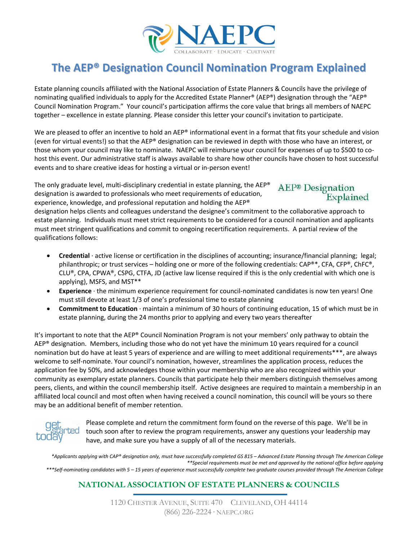

## **The AEP® Designation Council Nomination Program Explained**

Estate planning councils affiliated with the National Association of Estate Planners & Councils have the privilege of nominating qualified individuals to apply for the Accredited Estate Planner® (AEP®) designation through the "AEP® Council Nomination Program." Your council's participation affirms the core value that brings all members of NAEPC together – excellence in estate planning. Please consider this letter your council's invitation to participate.

We are pleased to offer an incentive to hold an AEP® informational event in a format that fits your schedule and vision (even for virtual events!) so that the AEP® designation can be reviewed in depth with those who have an interest, or those whom your council may like to nominate. NAEPC will reimburse your council for expenses of up to \$500 to cohost this event. Our administrative staff is always available to share how other councils have chosen to host successful events and to share creative ideas for hosting a virtual or in-person event!

The only graduate level, multi-disciplinary credential in estate planning, the AEP<sup>®</sup> designation is awarded to professionals who meet requirements of education, experience, knowledge, and professional reputation and holding the AEP®

# AEP<sup>®</sup> Designation<br>Explained

designation helps clients and colleagues understand the designee's commitment to the collaborative approach to estate planning. Individuals must meet strict requirements to be considered for a council nomination and applicants must meet stringent qualifications and commit to ongoing recertification requirements. A partial review of the qualifications follows:

- **Credential** ∙ active license or certification in the disciplines of accounting; insurance/financial planning; legal; philanthropic; or trust services – holding one or more of the following credentials: CAP®\*, CFA, CFP®, ChFC®, CLU®, CPA, CPWA®, CSPG, CTFA, JD (active law license required if this is the only credential with which one is applying), MSFS, and MST\*\*
- **Experience** ∙ the minimum experience requirement for council-nominated candidates is now ten years! One must still devote at least 1/3 of one's professional time to estate planning
- **Commitment to Education** ∙ maintain a minimum of 30 hours of continuing education, 15 of which must be in estate planning, during the 24 months prior to applying and every two years thereafter

It's important to note that the AEP® Council Nomination Program is not your members' only pathway to obtain the AEP® designation. Members, including those who do not yet have the minimum 10 years required for a council nomination but do have at least 5 years of experience and are willing to meet additional requirements\*\*\*, are always welcome to self-nominate. Your council's nomination, however, streamlines the application process, reduces the application fee by 50%, and acknowledges those within your membership who are also recognized within your community as exemplary estate planners. Councils that participate help their members distinguish themselves among peers, clients, and within the council membership itself. Active designees are required to maintain a membership in an affiliated local council and most often when having received a council nomination, this council will be yours so there may be an additional benefit of member retention.



Please complete and return the commitment form found on the reverse of this page. We'll be in touch soon after to review the program requirements, answer any questions your leadership may have, and make sure you have a supply of all of the necessary materials.

*\*Applicants applying with CAP® designation only, must have successfully completed GS 815 – Advanced Estate Planning through The American College \*\*Special requirements must be met and approved by the national office before applying \*\*\*Self-nominating candidates with 5 – 15 years of experience must successfully complete two graduate courses provided through The American College*

#### **NATIONAL ASSOCIATION OF ESTATE PLANNERS & COUNCILS**